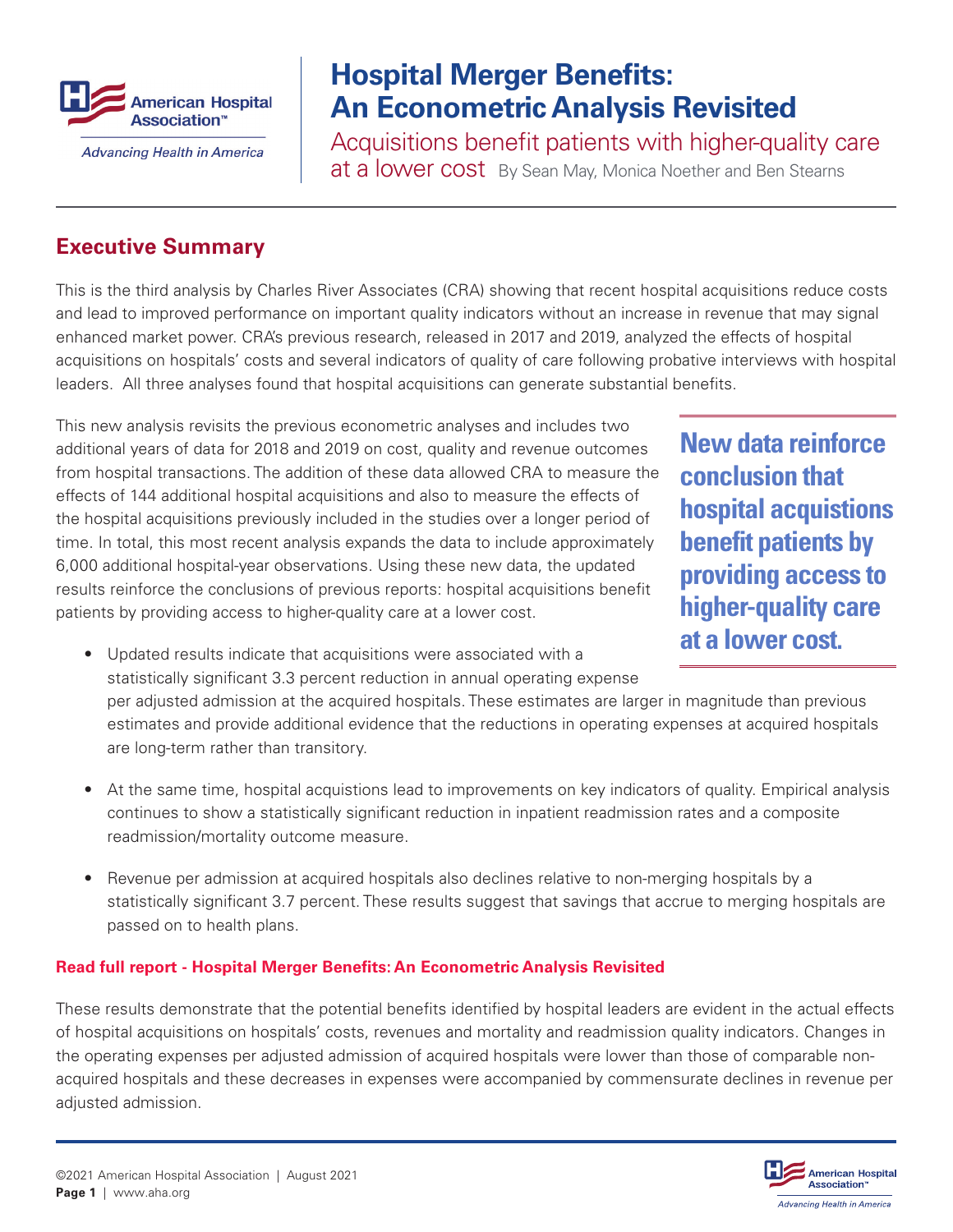

## **Hospital Merger Benefits: An Econometric Analysis Revisited**

Acquisitions benefit patients with higher-quality care at a lower cost By Sean May, Monica Noether and Ben Stearns

## **Executive Summary**

This is the third analysis by Charles River Associates (CRA) showing that recent hospital acquisitions reduce costs and lead to improved performance on important quality indicators without an increase in revenue that may signal enhanced market power. CRA's previous research, released in 2017 and 2019, analyzed the effects of hospital acquisitions on hospitals' costs and several indicators of quality of care following probative interviews with hospital leaders. All three analyses found that hospital acquisitions can generate substantial benefits.

This new analysis revisits the previous econometric analyses and includes two additional years of data for 2018 and 2019 on cost, quality and revenue outcomes from hospital transactions. The addition of these data allowed CRA to measure the effects of 144 additional hospital acquisitions and also to measure the effects of the hospital acquisitions previously included in the studies over a longer period of time. In total, this most recent analysis expands the data to include approximately 6,000 additional hospital-year observations. Using these new data, the updated results reinforce the conclusions of previous reports: hospital acquisitions benefit patients by providing access to higher-quality care at a lower cost.

**New data reinforce conclusion that hospital acquistions benefit patients by providing access to higher-quality care at a lower cost.**

• Updated results indicate that acquisitions were associated with a statistically significant 3.3 percent reduction in annual operating expense

per adjusted admission at the acquired hospitals. These estimates are larger in magnitude than previous estimates and provide additional evidence that the reductions in operating expenses at acquired hospitals are long-term rather than transitory.

- At the same time, hospital acquistions lead to improvements on key indicators of quality. Empirical analysis continues to show a statistically significant reduction in inpatient readmission rates and a composite readmission/mortality outcome measure.
- Revenue per admission at acquired hospitals also declines relative to non-merging hospitals by a statistically significant 3.7 percent. These results suggest that savings that accrue to merging hospitals are passed on to health plans.

## **[Read full report - Hospital Merger Benefits: An Econometric Analysis Revisited](https://www.aha.org/guidesreports/2021-08-16-hospital-merger-benefits-econometric-analysis-revisited)**

These results demonstrate that the potential benefits identified by hospital leaders are evident in the actual effects of hospital acquisitions on hospitals' costs, revenues and mortality and readmission quality indicators. Changes in the operating expenses per adjusted admission of acquired hospitals were lower than those of comparable nonacquired hospitals and these decreases in expenses were accompanied by commensurate declines in revenue per adjusted admission.